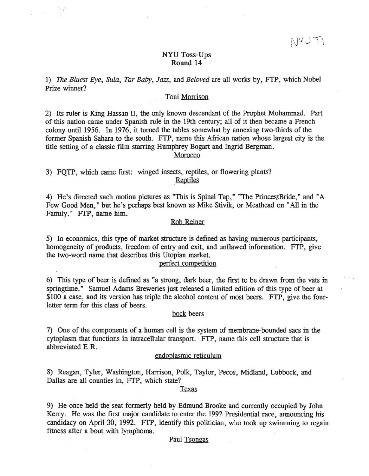## NYU Toss-Ups Round 14

1) The *Bluest* Eye, *Sula, Tar Baby,* Jazz, and *Beloved* are all works by, FTP, which Nobel Prize winner?

## Toni Morrison

2) Its ruler is King Hassan II, the only known descendant of the Prophet Mohammad. Part of this nation came under Spanish rule in the 19th century; all of it then became a French colony until 1956. In 1976, it turned the tables somewhat by annexing two-thirds of the former Spanish Sahara to the south. FTP, name this African nation whose largest city is the title setting of a classic film starring Humphrey Bogart and Ingrid Bergman.

## Morocco

3) FQTP, which came first: winged insects, reptiles, or flowering plants? Reptiles

'. :

4) He's directed such motion pictures as "This is Spinal Tap," "The PrincessBride," and "A Few Good Men," but he's perhaps best known as Mike Stivik, or Meathead on "All in the Family." FrP, name him.

## Rob Reiner

5) In economics, this type of market structure is defined as having numerous participants, homogeneity of products, freedom of entry and exit, and unflawed information. FTP, give the two-word name that describes this Utopian market.

# perfect competition

6) This type of beer is defined as "a strong, dark beer, the first to be drawn from the vats in springtime. " Samuel Adams Breweries just released a limited edition of this type of beer at \$100 a case, and its version has triple the alcohol content of most beers. FTP, give the fourletter term for this class of beers.

#### bock beers

7) One of the components of a human cell is the system of membrane-bounded sacs in the cytoplasm that functions in intracellular transport. FTP, name this cell structure that is abbreviated E.R.

# endoplasmic reticulum

8) Reagan, Tyler, Washington, Harrison, Polk, Taylor, Pecos, Midland, Lubbock, and Dallas are all counties in, FTP, which state?

# Texas

9) He once held the seat formerly held by Edmund Brooke and currently occupied by John Kerry. He was the first major candidate to enter the 1992 Presidential race, announcing his candidacy on April 30, 1992. FTP, identify this politician, who took up swimming to regain fitness after a bout with lymphoma.

#### Paul Tsongas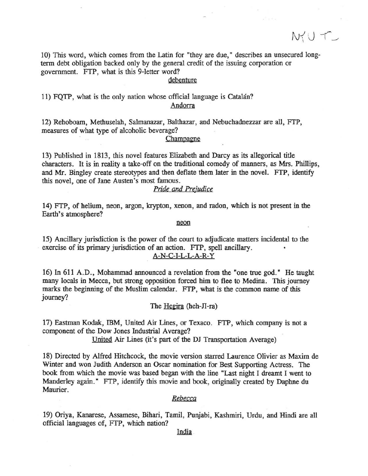$N_{1}^{\prime}$ U T

10) This word, which comes from the Latin for "they are due," describes an unsecured longterm debt obligation backed only by the general credit of the issuing corporation or government. FTP, what is this 9-letter word?

## debenture

11) FQTP, what is the only nation whose official language is Catalan? Andorra

12) Rehoboam, Methuselah, Salmanazar, Balthazar, and Nebuchadnezzar are all, FTP, measures of what type of alcoholic beverage?

#### Champagne

13) Published in 1813, this novel features Elizabeth and Darcy as its allegorical title characters. It is in reality a take-off on the traditional comedy of manners, as Mrs. Phillips, and Mr. Bingley create stereotypes and then deflate them later in the novel. FfP, identify this novel, one of Jane Austen's most famous.

# *Pride* and *Prejudice*

14) FTP, of helium, neon, argon, krypton, xenon, and radon, which is not present in the Earth's atmosphere?

#### neon

15) Ancillary jurisdiction is the power of the court to adjudicate matters incidental to the . exercise of its primary jurisdiction of an action. FTP, spell ancillary. A-N-C-J-L-L-A-R-Y

16) In 611 A.D., Mohammad announced a revelation from the "one true god." He taught many locals in Mecca, but strong opposition forced him to flee to Medina. This journey marks the beginning of the Muslim calendar. FTP, what is the common name of this journey?

The  $Heqira$  (heh- $\Pi$ -ra)

17) Eastman Kodak, IBM, United Air Lines, or Texaco. FTP, which company is not a component of the Dow Jones Industrial Average?

United Air Lines (it's part of the DJ Transportation Average)

18) Directed by Alfred Hitchcock, the movie version starred Laurence Olivier as Maxim de Winter and won Judith Anderson an Oscar nomination for Best Supporting Actress. The book from which the movie was based began with the line "Last night J dreamt J went to Manderley again." FTP, identify this movie and book, originally created by Daphne du Maurier.

### *Rebecca*

19) Oriya, Kanarese, Assamese, Bihari, Tamil, Punjabi, Kashmiri, Urdu, and Hindi are all official languages of, FTP, which nation?

India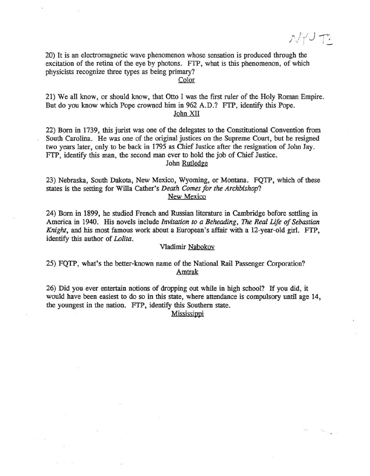$\mathcal{N}/\sqrt{1-\mathcal{N}}$ 

20) It is an electromagnetic wave phenomenon whose sensation is produced through the excitation of the retina of the eye by photons. FTP, what is this phenomenon, of which physicists recognize three types as being primary?

Color

21) We all know, or should know, that Otto I was the first ruler of the Holy Roman Empire. But do you know which Pope crowned him in 962 A.D.? FrP, identify this Pope. John XII

22) Born in 1739, this jurist was one of the delegates to the Constitutional Convention from South Carolina. He was one of the original justices on the Supreme Court, but he resigned two years later, only to be back in 1795 as Chief Justice after the resignation of John Jay. FrP, identify this man, the second man ever to hold the job of Chief Justice. John Rutledge

23) Nebraska, South Dakota, New Mexico, Wyoming, or Montana. FQTP, which of these states is the setting for Willa Cather's *Death Comes for the Archbishop?* New Mexico

24) Born in 1899, he studied French and Russian literature in Cambridge before settling in America in 1940. His novels include *Invitation to a Beheading,* The *Real life of Sebastian Knight,* and his most famous work about a European's affair with a 12-year-old girl. FfP, identify this author of *Lolita.* 

#### Vladimir Nabokov

25) FQTP, what's the better-known name of the National Rail Passenger Corporation? Amtrak

26) Did you ever entertain notions of dropping out while in high school? If you did, it would have been easiest to do so in this state, where attendance is compulsory until age 14, the youngest in the nation. FrP, identify this Southern state.

**Mississippi**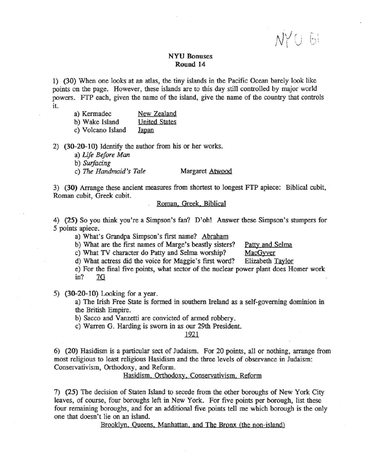$\bigvee$  (  $:$  $! \vee ! \: \: \cup$ 

# NYU Bonuses Round 14

1) (30) When one looks at an atlas, the tiny islands in the Pacific Ocean barely look like points on the page. However, these islands are to this day still controlled by major world powers. FTP each, given the name of the island, give the name of the country that controls it.

- a) Kermadec New Zealand
- b) Wake Island United States

c) Volcano Island Japan

2) (30-20-10) Identify the author from his or her works.

a) *Life Before Man* 

b) *SUrfacing* 

c) The *Handmaid's Tale* Margaret Atwood

3) (30) Arrange these ancient measures from shortest to longest FTP apiece: Biblical cubit, Roman cubit, Greek cubit.

### Roman, Greek, Biblical

4) (25) So you think you're a Simpson's fan? D'oh1 Answer these Simpson's stumpers for 5 points apiece.

a) What's Grandpa Simpson's first name? Abraham

b) What are the first names of Marge's beastly sisters? Patty and Selma

c) What TV character do Patty and Selma worship? MacGyver

d) What actress did the voice for Maggie's first word? Elizabeth Taylor

e) For the final five points, what sector of the nuclear power plant does Homer work  $in?$  7G

5)  $(30-20-10)$  Looking for a year.

a) The Irish Free State is formed in southern Ireland as a self-governing dominion in the British Empire.

b) Sacco and Vanzetti are convicted of armed robbery.

c) Warren G. Harding is sworn in as our 29th President.

1921

6) (20) Hasidism is a particular sect of Judaism. For 20 points, all or nothing, arrange from most religious to least religious Hasidism and the three levels of observance in Judaism: Conservativism, Orthodoxy, and Reform.

Hasidism, Orthodoxy. Conservativism, Reform

7) (25) The decision of Staten Island to secede from the other boroughs of New York City leaves, of course, four boroughs left in New York. For five points per borough, list these four remaining boroughs, and for an additional five points tell me which borough is the only one that doesn't lie on an island.

Brooklyn. Queens. Manhattan. and The Bronx (the non-island)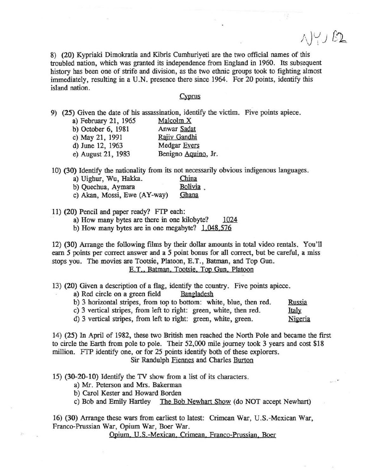$\wedge$ )  $\vee$   $\Omega$ 

8) (20) Kypriaki Dimokratia and Kibris Cumhuriyeti are the two official names of this troubled nation, which was granted its independence from England in 1960. Its subsequent history has been one of strife and division, as the two ethnic groups took to fighting almost immediately, resulting in a U.N. presence there since 1964. For 20 points, identify this island nation.

#### Cyprus

9) (25) Given the date of his assassination, identify the victim. Five points apiece.

| a) February 21, 1965 | Malcolm X           |
|----------------------|---------------------|
| b) October 6, 1981   | Anwar Sadat         |
| c) May 21, 1991      | Rajiv Gandhi        |
| d) June 12, 1963     | Medgar Evers        |
| e) August 21, 1983   | Benigno Aquino, Jr. |

10) (30) Identify the nationality from its not necessarily obvious indigenous languages.

| a) Uighur, Wu, Hakka.        | China   |
|------------------------------|---------|
| b) Quechua, Aymara           | Bolivia |
| c) Akan, Mossi, Ewe (AY-way) | Ghana   |

11) (20) Pencil and paper ready? FTP each:

a) How many bytes are there in one kilobyte? 1024

b) How many bytes are in one megabyte? 1.048.576

12) (30) Arrange the following films by their dollar amounts in total video rentals. You'll earn 5 points per correct answer and a 5 point bonus for all correct, but be careful, a miss stops you. The movies are Tootsie, Platoon, E. T., Batman, and Top Gun. E.T., Batman, Tootsie, Top Gun, Platoon

13) (20) Given a description of a flag, identify the country. Five points apiece.<br>a) Red circle on a green field Bangladesh

a) Red circle on a green field

b) 3 horizontal stripes, from top to bottom: white, blue, then red. Russia

c) 3 vertical stripes, from left to right: green, white, then red. **Italy** 

d) 3 vertical stripes, from left to right: green, white, green. Nigeria

14) (25) In April of 1982, these two British men reached the North Pole and became the first to circle the Earth from pole to pole. Their 52,000 mile journey took 3 years and cost \$18 million. FTP identify one, or for 25 points identify both of these explorers. Sir Randulph Fiennes and Charles Burton

15) (30-20-10) Identify the TV show from a list of its characters.

a) Mr. Peterson and Mrs. Bakerman

b) Carol Kester and Howard Borden

c) Bob and Emily Hartley The Bob Newhart Show (do NOT accept NeWhart)

16) (30) Arrange these wars from earliest to latest: Crimean War, U. S. -Mexican War, Franco-Prussian War, Opium War, Boer War.

Opium, U.S.-Mexican, Crimean, Franco-Prussian, Boer